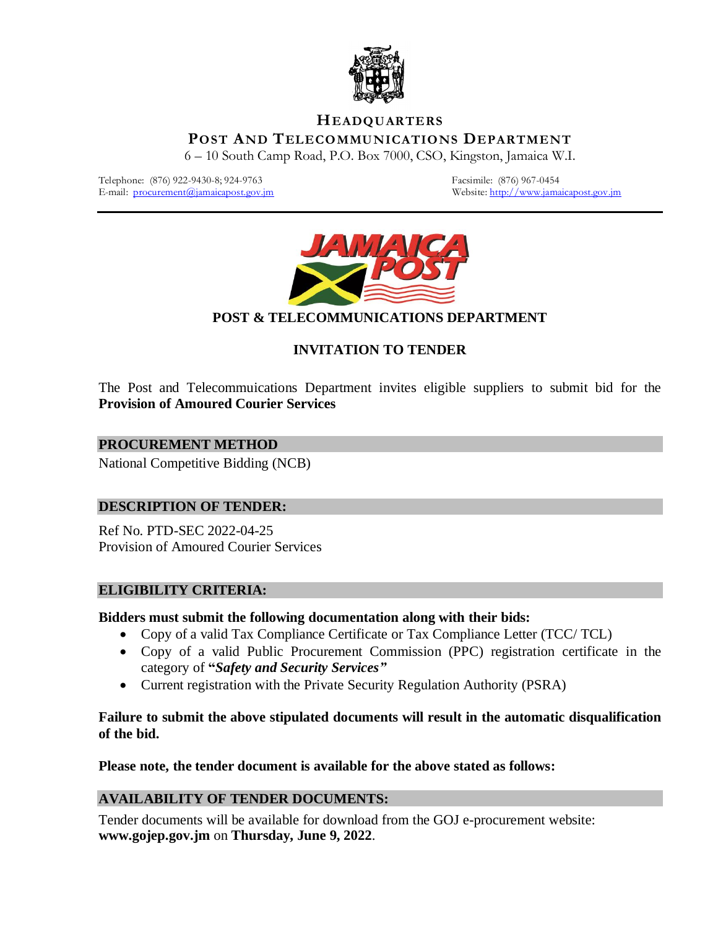

### **HEADQUARTERS**

**POST AND TELECOMMUNICATIONS DEPARTMENT**

6 – 10 South Camp Road, P.O. Box 7000, CSO, Kingston, Jamaica W.I.

Telephone: (876) 922-9430-8; 924-9763<br>
E-mail: procurement(@jamaicapost.gov.jm<br>
Website: http://www.jamaicapost.gov.jm<br>
Website: http://www.jamaicapost.gov.jm E-mail:  $procurrent@jamaicapost.gov.in$ 



# **POST & TELECOMMUNICATIONS DEPARTMENT**

# **INVITATION TO TENDER**

The Post and Telecommuications Department invites eligible suppliers to submit bid for the **Provision of Amoured Courier Services**

#### **PROCUREMENT METHOD**

National Competitive Bidding (NCB)

#### **DESCRIPTION OF TENDER:**

Ref No. PTD-SEC 2022-04-25 Provision of Amoured Courier Services

#### **ELIGIBILITY CRITERIA:**

#### **Bidders must submit the following documentation along with their bids:**

- Copy of a valid Tax Compliance Certificate or Tax Compliance Letter (TCC/ TCL)
- Copy of a valid Public Procurement Commission (PPC) registration certificate in the category of **"***Safety and Security Services"*
- Current registration with the Private Security Regulation Authority (PSRA)

#### **Failure to submit the above stipulated documents will result in the automatic disqualification of the bid.**

**Please note, the tender document is available for the above stated as follows:**

#### **AVAILABILITY OF TENDER DOCUMENTS:**

Tender documents will be available for download from the GOJ e-procurement website: **www.gojep.gov.jm** on **Thursday, June 9, 2022**.